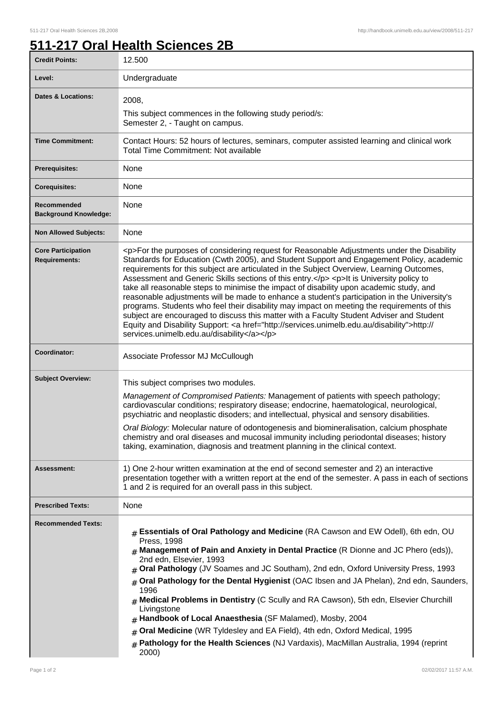## **511-217 Oral Health Sciences 2B**

| <b>Credit Points:</b>                             | 12.500                                                                                                                                                                                                                                                                                                                                                                                                                                                                                                                                                                                                                                                                                                                                                                                                                                                                                                                       |
|---------------------------------------------------|------------------------------------------------------------------------------------------------------------------------------------------------------------------------------------------------------------------------------------------------------------------------------------------------------------------------------------------------------------------------------------------------------------------------------------------------------------------------------------------------------------------------------------------------------------------------------------------------------------------------------------------------------------------------------------------------------------------------------------------------------------------------------------------------------------------------------------------------------------------------------------------------------------------------------|
| Level:                                            | Undergraduate                                                                                                                                                                                                                                                                                                                                                                                                                                                                                                                                                                                                                                                                                                                                                                                                                                                                                                                |
| <b>Dates &amp; Locations:</b>                     | 2008,<br>This subject commences in the following study period/s:<br>Semester 2, - Taught on campus.                                                                                                                                                                                                                                                                                                                                                                                                                                                                                                                                                                                                                                                                                                                                                                                                                          |
| <b>Time Commitment:</b>                           | Contact Hours: 52 hours of lectures, seminars, computer assisted learning and clinical work<br><b>Total Time Commitment: Not available</b>                                                                                                                                                                                                                                                                                                                                                                                                                                                                                                                                                                                                                                                                                                                                                                                   |
| Prerequisites:                                    | None                                                                                                                                                                                                                                                                                                                                                                                                                                                                                                                                                                                                                                                                                                                                                                                                                                                                                                                         |
| <b>Corequisites:</b>                              | None                                                                                                                                                                                                                                                                                                                                                                                                                                                                                                                                                                                                                                                                                                                                                                                                                                                                                                                         |
| Recommended<br><b>Background Knowledge:</b>       | None                                                                                                                                                                                                                                                                                                                                                                                                                                                                                                                                                                                                                                                                                                                                                                                                                                                                                                                         |
| <b>Non Allowed Subjects:</b>                      | None                                                                                                                                                                                                                                                                                                                                                                                                                                                                                                                                                                                                                                                                                                                                                                                                                                                                                                                         |
| <b>Core Participation</b><br><b>Requirements:</b> | <p>For the purposes of considering request for Reasonable Adjustments under the Disability<br/>Standards for Education (Cwth 2005), and Student Support and Engagement Policy, academic<br/>requirements for this subject are articulated in the Subject Overview, Learning Outcomes,<br/>Assessment and Generic Skills sections of this entry.</p> <p>lt is University policy to<br/>take all reasonable steps to minimise the impact of disability upon academic study, and<br/>reasonable adjustments will be made to enhance a student's participation in the University's<br/>programs. Students who feel their disability may impact on meeting the requirements of this<br/>subject are encouraged to discuss this matter with a Faculty Student Adviser and Student<br/>Equity and Disability Support: &lt; a href="http://services.unimelb.edu.au/disability"&gt;http://<br/>services.unimelb.edu.au/disability</p> |
| Coordinator:                                      | Associate Professor MJ McCullough                                                                                                                                                                                                                                                                                                                                                                                                                                                                                                                                                                                                                                                                                                                                                                                                                                                                                            |
| <b>Subject Overview:</b>                          | This subject comprises two modules.<br>Management of Compromised Patients: Management of patients with speech pathology;<br>cardiovascular conditions; respiratory disease; endocrine, haematological, neurological,<br>psychiatric and neoplastic disoders; and intellectual, physical and sensory disabilities.<br>Oral Biology: Molecular nature of odontogenesis and biomineralisation, calcium phosphate<br>chemistry and oral diseases and mucosal immunity including periodontal diseases; history<br>taking, examination, diagnosis and treatment planning in the clinical context.                                                                                                                                                                                                                                                                                                                                  |
| Assessment:                                       | 1) One 2-hour written examination at the end of second semester and 2) an interactive<br>presentation together with a written report at the end of the semester. A pass in each of sections<br>1 and 2 is required for an overall pass in this subject.                                                                                                                                                                                                                                                                                                                                                                                                                                                                                                                                                                                                                                                                      |
| <b>Prescribed Texts:</b>                          | None                                                                                                                                                                                                                                                                                                                                                                                                                                                                                                                                                                                                                                                                                                                                                                                                                                                                                                                         |
| <b>Recommended Texts:</b>                         | Essentials of Oral Pathology and Medicine (RA Cawson and EW Odell), 6th edn, OU<br>#<br>Press, 1998<br>$#$ Management of Pain and Anxiety in Dental Practice (R Dionne and JC Phero (eds)),<br>2nd edn, Elsevier, 1993<br>Oral Pathology (JV Soames and JC Southam), 2nd edn, Oxford University Press, 1993<br>Oral Pathology for the Dental Hygienist (OAC Ibsen and JA Phelan), 2nd edn, Saunders,<br>#<br>1996<br>Medical Problems in Dentistry (C Scully and RA Cawson), 5th edn, Elsevier Churchill<br>Livingstone<br>Handbook of Local Anaesthesia (SF Malamed), Mosby, 2004<br>Oral Medicine (WR Tyldesley and EA Field), 4th edn, Oxford Medical, 1995<br>#<br>Pathology for the Health Sciences (NJ Vardaxis), MacMillan Australia, 1994 (reprint<br>$\#$<br>2000)                                                                                                                                                  |